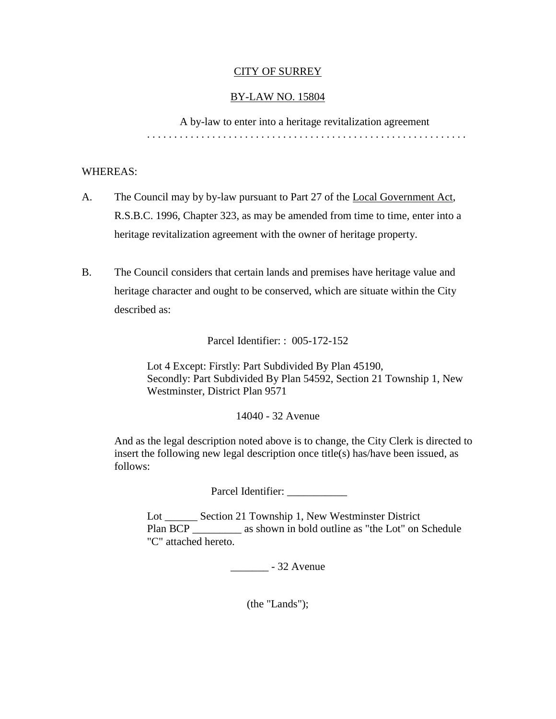#### CITY OF SURREY

### BY-LAW NO. 15804

A by-law to enter into a heritage revitalization agreement . . . . . . . . . . . . . . . . . . . . . . . . . . . . . . . . . . . . . . . . . . . . . . . . . . . . . . . . . . .

### WHEREAS:

- A. The Council may by by-law pursuant to Part 27 of the Local Government Act, R.S.B.C. 1996, Chapter 323, as may be amended from time to time, enter into a heritage revitalization agreement with the owner of heritage property.
- B. The Council considers that certain lands and premises have heritage value and heritage character and ought to be conserved, which are situate within the City described as:

Parcel Identifier: : 005-172-152

Lot 4 Except: Firstly: Part Subdivided By Plan 45190, Secondly: Part Subdivided By Plan 54592, Section 21 Township 1, New Westminster, District Plan 9571

14040 - 32 Avenue

And as the legal description noted above is to change, the City Clerk is directed to insert the following new legal description once title(s) has/have been issued, as follows:

Parcel Identifier: \_\_\_\_\_\_\_\_\_\_\_\_\_

Lot \_\_\_\_\_\_ Section 21 Township 1, New Westminster District Plan BCP \_\_\_\_\_\_\_\_\_\_\_ as shown in bold outline as "the Lot" on Schedule "C" attached hereto.

\_\_\_\_\_\_\_ - 32 Avenue

(the "Lands");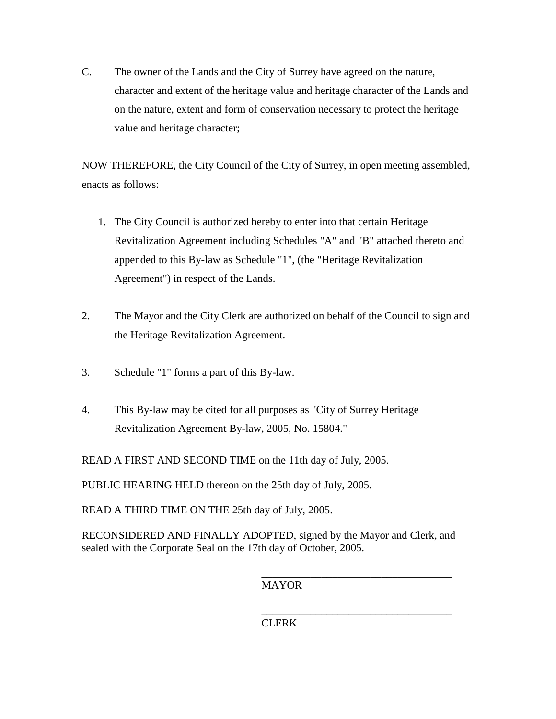C. The owner of the Lands and the City of Surrey have agreed on the nature, character and extent of the heritage value and heritage character of the Lands and on the nature, extent and form of conservation necessary to protect the heritage value and heritage character;

NOW THEREFORE, the City Council of the City of Surrey, in open meeting assembled, enacts as follows:

- 1. The City Council is authorized hereby to enter into that certain Heritage Revitalization Agreement including Schedules "A" and "B" attached thereto and appended to this By-law as Schedule "1", (the "Heritage Revitalization Agreement") in respect of the Lands.
- 2. The Mayor and the City Clerk are authorized on behalf of the Council to sign and the Heritage Revitalization Agreement.
- 3. Schedule "1" forms a part of this By-law.
- 4. This By-law may be cited for all purposes as "City of Surrey Heritage Revitalization Agreement By-law, 2005, No. 15804."

READ A FIRST AND SECOND TIME on the 11th day of July, 2005.

PUBLIC HEARING HELD thereon on the 25th day of July, 2005.

READ A THIRD TIME ON THE 25th day of July, 2005.

RECONSIDERED AND FINALLY ADOPTED, signed by the Mayor and Clerk, and sealed with the Corporate Seal on the 17th day of October, 2005.

MAYOR

\_\_\_\_\_\_\_\_\_\_\_\_\_\_\_\_\_\_\_\_\_\_\_\_\_\_\_\_\_\_\_\_\_\_\_

\_\_\_\_\_\_\_\_\_\_\_\_\_\_\_\_\_\_\_\_\_\_\_\_\_\_\_\_\_\_\_\_\_\_\_ CLERK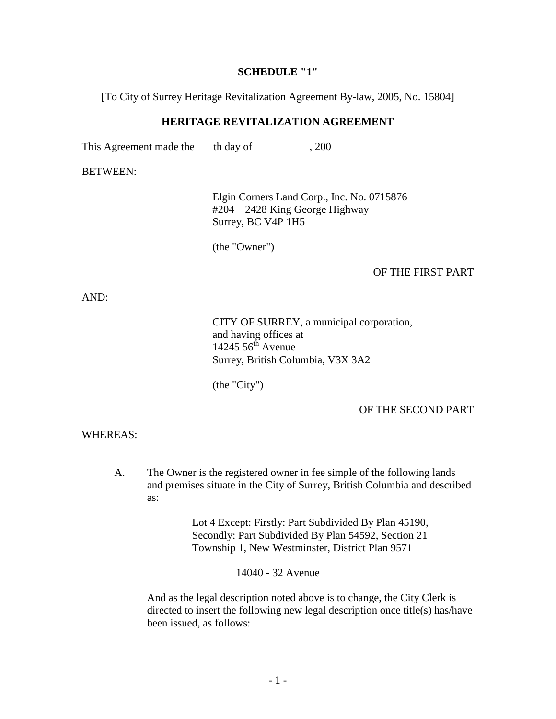#### **SCHEDULE "1"**

[To City of Surrey Heritage Revitalization Agreement By-law, 2005, No. 15804]

#### **HERITAGE REVITALIZATION AGREEMENT**

This Agreement made the \_\_\_th day of \_\_\_\_\_\_\_\_\_, 200\_

BETWEEN:

Elgin Corners Land Corp., Inc. No. 0715876 #204 – 2428 King George Highway Surrey, BC V4P 1H5

(the "Owner")

## OF THE FIRST PART

AND:

CITY OF SURREY, a municipal corporation, and having offices at  $14245\,56$ <sup>th</sup> Avenue Surrey, British Columbia, V3X 3A2

(the "City")

## OF THE SECOND PART

#### WHEREAS:

A. The Owner is the registered owner in fee simple of the following lands and premises situate in the City of Surrey, British Columbia and described as:

> Lot 4 Except: Firstly: Part Subdivided By Plan 45190, Secondly: Part Subdivided By Plan 54592, Section 21 Township 1, New Westminster, District Plan 9571

> > 14040 - 32 Avenue

And as the legal description noted above is to change, the City Clerk is directed to insert the following new legal description once title(s) has/have been issued, as follows: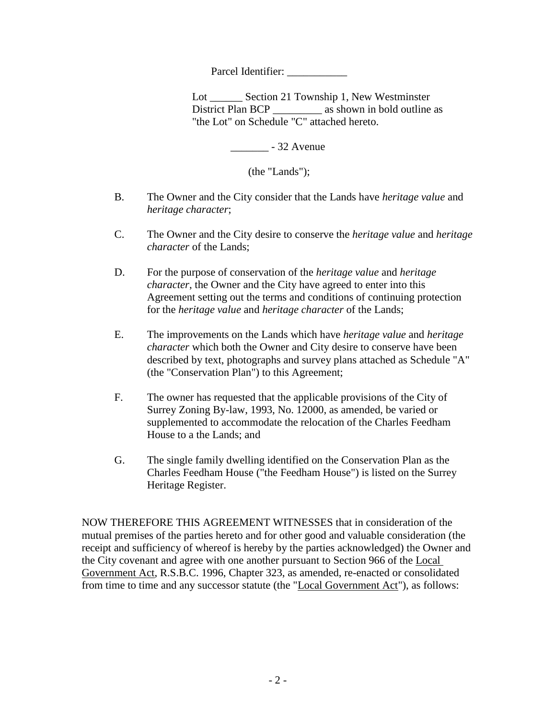Parcel Identifier:

Lot Section 21 Township 1, New Westminster District Plan BCP \_\_\_\_\_\_\_\_\_\_ as shown in bold outline as "the Lot" on Schedule "C" attached hereto.

\_\_\_\_\_\_\_ - 32 Avenue

(the "Lands");

- B. The Owner and the City consider that the Lands have *heritage value* and *heritage character*;
- C. The Owner and the City desire to conserve the *heritage value* and *heritage character* of the Lands;
- D. For the purpose of conservation of the *heritage value* and *heritage character*, the Owner and the City have agreed to enter into this Agreement setting out the terms and conditions of continuing protection for the *heritage value* and *heritage character* of the Lands;
- E. The improvements on the Lands which have *heritage value* and *heritage character* which both the Owner and City desire to conserve have been described by text, photographs and survey plans attached as Schedule "A" (the "Conservation Plan") to this Agreement;
- F. The owner has requested that the applicable provisions of the City of Surrey Zoning By-law, 1993, No. 12000, as amended, be varied or supplemented to accommodate the relocation of the Charles Feedham House to a the Lands; and
- G. The single family dwelling identified on the Conservation Plan as the Charles Feedham House ("the Feedham House") is listed on the Surrey Heritage Register.

NOW THEREFORE THIS AGREEMENT WITNESSES that in consideration of the mutual premises of the parties hereto and for other good and valuable consideration (the receipt and sufficiency of whereof is hereby by the parties acknowledged) the Owner and the City covenant and agree with one another pursuant to Section 966 of the Local Government Act, R.S.B.C. 1996, Chapter 323, as amended, re-enacted or consolidated from time to time and any successor statute (the "Local Government Act"), as follows: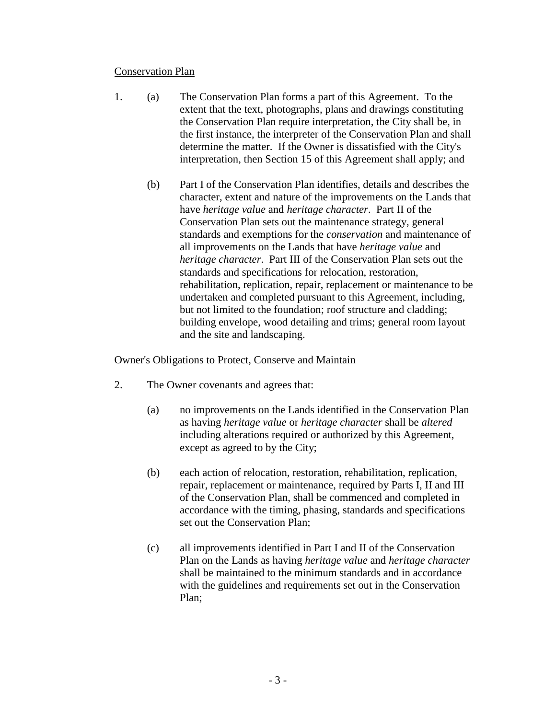#### Conservation Plan

- 1. (a) The Conservation Plan forms a part of this Agreement. To the extent that the text, photographs, plans and drawings constituting the Conservation Plan require interpretation, the City shall be, in the first instance, the interpreter of the Conservation Plan and shall determine the matter. If the Owner is dissatisfied with the City's interpretation, then Section 15 of this Agreement shall apply; and
	- (b) Part I of the Conservation Plan identifies, details and describes the character, extent and nature of the improvements on the Lands that have *heritage value* and *heritage character*. Part II of the Conservation Plan sets out the maintenance strategy, general standards and exemptions for the *conservation* and maintenance of all improvements on the Lands that have *heritage value* and *heritage character*. Part III of the Conservation Plan sets out the standards and specifications for relocation, restoration, rehabilitation, replication, repair, replacement or maintenance to be undertaken and completed pursuant to this Agreement, including, but not limited to the foundation; roof structure and cladding; building envelope, wood detailing and trims; general room layout and the site and landscaping.

## Owner's Obligations to Protect, Conserve and Maintain

- 2. The Owner covenants and agrees that:
	- (a) no improvements on the Lands identified in the Conservation Plan as having *heritage value* or *heritage character* shall be *altered* including alterations required or authorized by this Agreement, except as agreed to by the City;
	- (b) each action of relocation, restoration, rehabilitation, replication, repair, replacement or maintenance, required by Parts I, II and III of the Conservation Plan, shall be commenced and completed in accordance with the timing, phasing, standards and specifications set out the Conservation Plan;
	- (c) all improvements identified in Part I and II of the Conservation Plan on the Lands as having *heritage value* and *heritage character* shall be maintained to the minimum standards and in accordance with the guidelines and requirements set out in the Conservation Plan;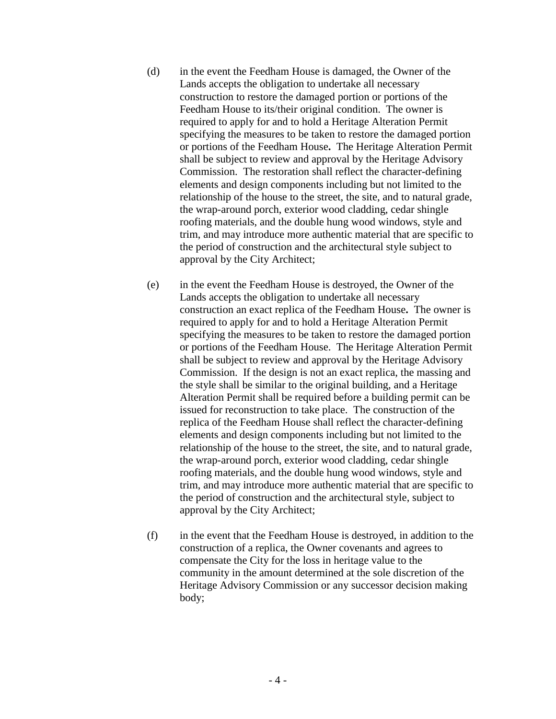- (d) in the event the Feedham House is damaged, the Owner of the Lands accepts the obligation to undertake all necessary construction to restore the damaged portion or portions of the Feedham House to its/their original condition. The owner is required to apply for and to hold a Heritage Alteration Permit specifying the measures to be taken to restore the damaged portion or portions of the Feedham House**.** The Heritage Alteration Permit shall be subject to review and approval by the Heritage Advisory Commission. The restoration shall reflect the character-defining elements and design components including but not limited to the relationship of the house to the street, the site, and to natural grade, the wrap-around porch, exterior wood cladding, cedar shingle roofing materials, and the double hung wood windows, style and trim, and may introduce more authentic material that are specific to the period of construction and the architectural style subject to approval by the City Architect;
- (e) in the event the Feedham House is destroyed, the Owner of the Lands accepts the obligation to undertake all necessary construction an exact replica of the Feedham House**.** The owner is required to apply for and to hold a Heritage Alteration Permit specifying the measures to be taken to restore the damaged portion or portions of the Feedham House. The Heritage Alteration Permit shall be subject to review and approval by the Heritage Advisory Commission. If the design is not an exact replica, the massing and the style shall be similar to the original building, and a Heritage Alteration Permit shall be required before a building permit can be issued for reconstruction to take place. The construction of the replica of the Feedham House shall reflect the character-defining elements and design components including but not limited to the relationship of the house to the street, the site, and to natural grade, the wrap-around porch, exterior wood cladding, cedar shingle roofing materials, and the double hung wood windows, style and trim, and may introduce more authentic material that are specific to the period of construction and the architectural style, subject to approval by the City Architect;
- (f) in the event that the Feedham House is destroyed, in addition to the construction of a replica, the Owner covenants and agrees to compensate the City for the loss in heritage value to the community in the amount determined at the sole discretion of the Heritage Advisory Commission or any successor decision making body;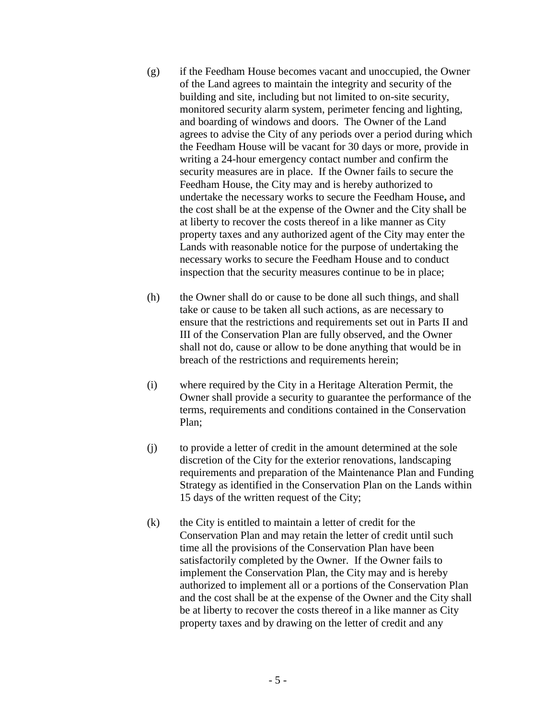- (g) if the Feedham House becomes vacant and unoccupied, the Owner of the Land agrees to maintain the integrity and security of the building and site, including but not limited to on-site security, monitored security alarm system, perimeter fencing and lighting, and boarding of windows and doors. The Owner of the Land agrees to advise the City of any periods over a period during which the Feedham House will be vacant for 30 days or more, provide in writing a 24-hour emergency contact number and confirm the security measures are in place. If the Owner fails to secure the Feedham House, the City may and is hereby authorized to undertake the necessary works to secure the Feedham House**,** and the cost shall be at the expense of the Owner and the City shall be at liberty to recover the costs thereof in a like manner as City property taxes and any authorized agent of the City may enter the Lands with reasonable notice for the purpose of undertaking the necessary works to secure the Feedham House and to conduct inspection that the security measures continue to be in place;
- (h) the Owner shall do or cause to be done all such things, and shall take or cause to be taken all such actions, as are necessary to ensure that the restrictions and requirements set out in Parts II and III of the Conservation Plan are fully observed, and the Owner shall not do, cause or allow to be done anything that would be in breach of the restrictions and requirements herein;
- (i) where required by the City in a Heritage Alteration Permit, the Owner shall provide a security to guarantee the performance of the terms, requirements and conditions contained in the Conservation Plan;
- (j) to provide a letter of credit in the amount determined at the sole discretion of the City for the exterior renovations, landscaping requirements and preparation of the Maintenance Plan and Funding Strategy as identified in the Conservation Plan on the Lands within 15 days of the written request of the City;
- (k) the City is entitled to maintain a letter of credit for the Conservation Plan and may retain the letter of credit until such time all the provisions of the Conservation Plan have been satisfactorily completed by the Owner. If the Owner fails to implement the Conservation Plan, the City may and is hereby authorized to implement all or a portions of the Conservation Plan and the cost shall be at the expense of the Owner and the City shall be at liberty to recover the costs thereof in a like manner as City property taxes and by drawing on the letter of credit and any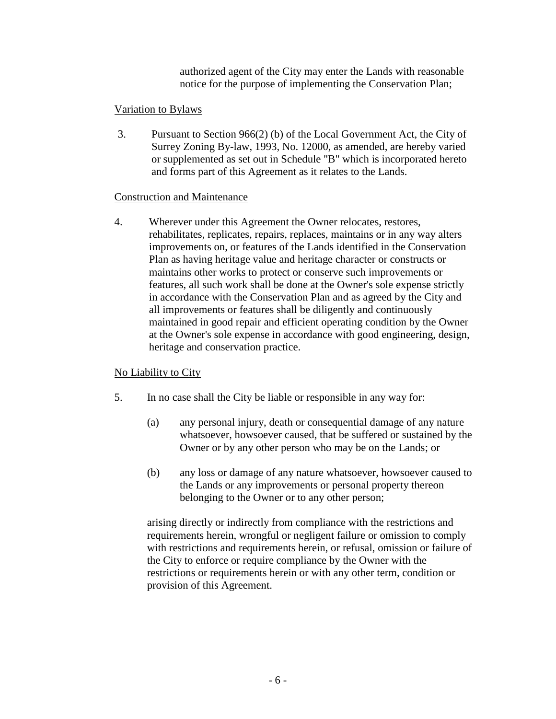authorized agent of the City may enter the Lands with reasonable notice for the purpose of implementing the Conservation Plan;

## Variation to Bylaws

3. Pursuant to Section 966(2) (b) of the Local Government Act, the City of Surrey Zoning By-law, 1993, No. 12000, as amended, are hereby varied or supplemented as set out in Schedule "B" which is incorporated hereto and forms part of this Agreement as it relates to the Lands.

## Construction and Maintenance

4. Wherever under this Agreement the Owner relocates, restores, rehabilitates, replicates, repairs, replaces, maintains or in any way alters improvements on, or features of the Lands identified in the Conservation Plan as having heritage value and heritage character or constructs or maintains other works to protect or conserve such improvements or features, all such work shall be done at the Owner's sole expense strictly in accordance with the Conservation Plan and as agreed by the City and all improvements or features shall be diligently and continuously maintained in good repair and efficient operating condition by the Owner at the Owner's sole expense in accordance with good engineering, design, heritage and conservation practice.

# No Liability to City

- 5. In no case shall the City be liable or responsible in any way for:
	- (a) any personal injury, death or consequential damage of any nature whatsoever, howsoever caused, that be suffered or sustained by the Owner or by any other person who may be on the Lands; or
	- (b) any loss or damage of any nature whatsoever, howsoever caused to the Lands or any improvements or personal property thereon belonging to the Owner or to any other person;

arising directly or indirectly from compliance with the restrictions and requirements herein, wrongful or negligent failure or omission to comply with restrictions and requirements herein, or refusal, omission or failure of the City to enforce or require compliance by the Owner with the restrictions or requirements herein or with any other term, condition or provision of this Agreement.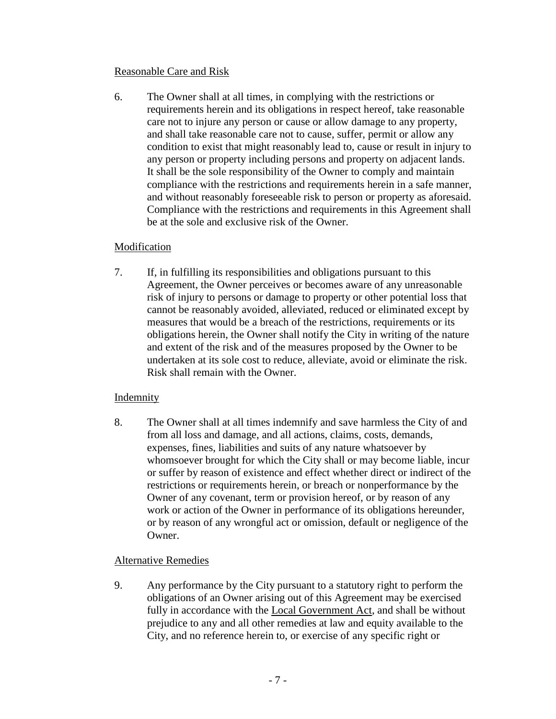### Reasonable Care and Risk

6. The Owner shall at all times, in complying with the restrictions or requirements herein and its obligations in respect hereof, take reasonable care not to injure any person or cause or allow damage to any property, and shall take reasonable care not to cause, suffer, permit or allow any condition to exist that might reasonably lead to, cause or result in injury to any person or property including persons and property on adjacent lands. It shall be the sole responsibility of the Owner to comply and maintain compliance with the restrictions and requirements herein in a safe manner, and without reasonably foreseeable risk to person or property as aforesaid. Compliance with the restrictions and requirements in this Agreement shall be at the sole and exclusive risk of the Owner.

## Modification

7. If, in fulfilling its responsibilities and obligations pursuant to this Agreement, the Owner perceives or becomes aware of any unreasonable risk of injury to persons or damage to property or other potential loss that cannot be reasonably avoided, alleviated, reduced or eliminated except by measures that would be a breach of the restrictions, requirements or its obligations herein, the Owner shall notify the City in writing of the nature and extent of the risk and of the measures proposed by the Owner to be undertaken at its sole cost to reduce, alleviate, avoid or eliminate the risk. Risk shall remain with the Owner.

# **Indemnity**

8. The Owner shall at all times indemnify and save harmless the City of and from all loss and damage, and all actions, claims, costs, demands, expenses, fines, liabilities and suits of any nature whatsoever by whomsoever brought for which the City shall or may become liable, incur or suffer by reason of existence and effect whether direct or indirect of the restrictions or requirements herein, or breach or nonperformance by the Owner of any covenant, term or provision hereof, or by reason of any work or action of the Owner in performance of its obligations hereunder, or by reason of any wrongful act or omission, default or negligence of the Owner.

# Alternative Remedies

9. Any performance by the City pursuant to a statutory right to perform the obligations of an Owner arising out of this Agreement may be exercised fully in accordance with the Local Government Act, and shall be without prejudice to any and all other remedies at law and equity available to the City, and no reference herein to, or exercise of any specific right or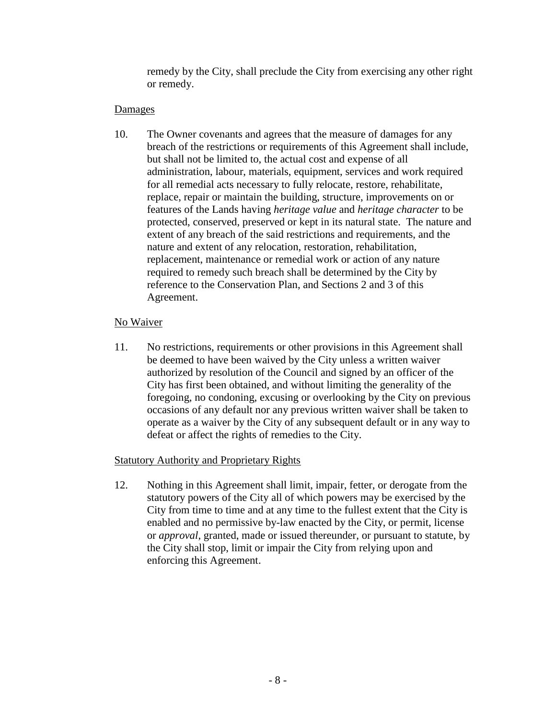remedy by the City, shall preclude the City from exercising any other right or remedy.

# **Damages**

10. The Owner covenants and agrees that the measure of damages for any breach of the restrictions or requirements of this Agreement shall include, but shall not be limited to, the actual cost and expense of all administration, labour, materials, equipment, services and work required for all remedial acts necessary to fully relocate, restore, rehabilitate, replace, repair or maintain the building, structure, improvements on or features of the Lands having *heritage value* and *heritage character* to be protected, conserved, preserved or kept in its natural state. The nature and extent of any breach of the said restrictions and requirements, and the nature and extent of any relocation, restoration, rehabilitation, replacement, maintenance or remedial work or action of any nature required to remedy such breach shall be determined by the City by reference to the Conservation Plan, and Sections 2 and 3 of this Agreement.

# No Waiver

11. No restrictions, requirements or other provisions in this Agreement shall be deemed to have been waived by the City unless a written waiver authorized by resolution of the Council and signed by an officer of the City has first been obtained, and without limiting the generality of the foregoing, no condoning, excusing or overlooking by the City on previous occasions of any default nor any previous written waiver shall be taken to operate as a waiver by the City of any subsequent default or in any way to defeat or affect the rights of remedies to the City.

# Statutory Authority and Proprietary Rights

12. Nothing in this Agreement shall limit, impair, fetter, or derogate from the statutory powers of the City all of which powers may be exercised by the City from time to time and at any time to the fullest extent that the City is enabled and no permissive by-law enacted by the City, or permit, license or *approval*, granted, made or issued thereunder, or pursuant to statute, by the City shall stop, limit or impair the City from relying upon and enforcing this Agreement.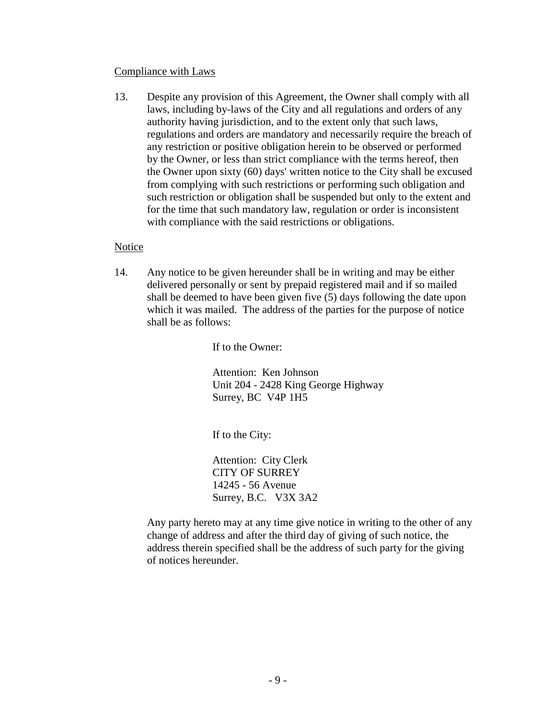#### Compliance with Laws

13. Despite any provision of this Agreement, the Owner shall comply with all laws, including by-laws of the City and all regulations and orders of any authority having jurisdiction, and to the extent only that such laws, regulations and orders are mandatory and necessarily require the breach of any restriction or positive obligation herein to be observed or performed by the Owner, or less than strict compliance with the terms hereof, then the Owner upon sixty (60) days' written notice to the City shall be excused from complying with such restrictions or performing such obligation and such restriction or obligation shall be suspended but only to the extent and for the time that such mandatory law, regulation or order is inconsistent with compliance with the said restrictions or obligations.

### **Notice**

14. Any notice to be given hereunder shall be in writing and may be either delivered personally or sent by prepaid registered mail and if so mailed shall be deemed to have been given five (5) days following the date upon which it was mailed. The address of the parties for the purpose of notice shall be as follows:

If to the Owner:

Attention: Ken Johnson Unit 204 - 2428 King George Highway Surrey, BC V4P 1H5

If to the City:

Attention: City Clerk CITY OF SURREY 14245 - 56 Avenue Surrey, B.C. V3X 3A2

Any party hereto may at any time give notice in writing to the other of any change of address and after the third day of giving of such notice, the address therein specified shall be the address of such party for the giving of notices hereunder.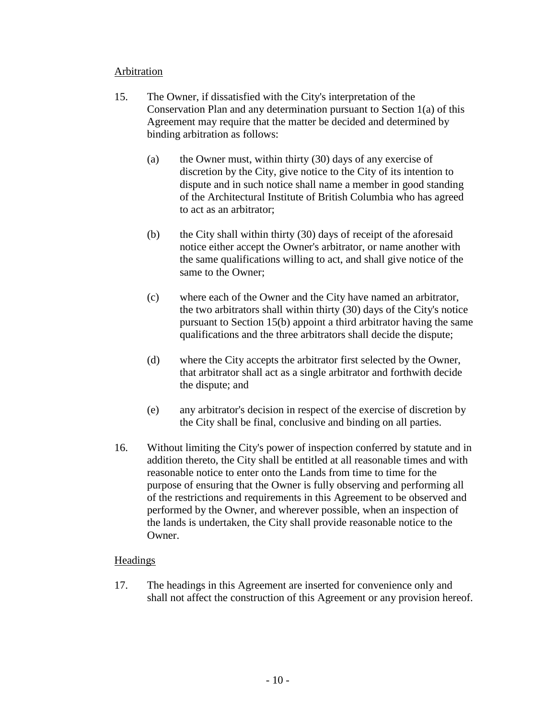#### Arbitration

- 15. The Owner, if dissatisfied with the City's interpretation of the Conservation Plan and any determination pursuant to Section 1(a) of this Agreement may require that the matter be decided and determined by binding arbitration as follows:
	- (a) the Owner must, within thirty (30) days of any exercise of discretion by the City, give notice to the City of its intention to dispute and in such notice shall name a member in good standing of the Architectural Institute of British Columbia who has agreed to act as an arbitrator;
	- (b) the City shall within thirty (30) days of receipt of the aforesaid notice either accept the Owner's arbitrator, or name another with the same qualifications willing to act, and shall give notice of the same to the Owner;
	- (c) where each of the Owner and the City have named an arbitrator, the two arbitrators shall within thirty (30) days of the City's notice pursuant to Section 15(b) appoint a third arbitrator having the same qualifications and the three arbitrators shall decide the dispute;
	- (d) where the City accepts the arbitrator first selected by the Owner, that arbitrator shall act as a single arbitrator and forthwith decide the dispute; and
	- (e) any arbitrator's decision in respect of the exercise of discretion by the City shall be final, conclusive and binding on all parties.
- 16. Without limiting the City's power of inspection conferred by statute and in addition thereto, the City shall be entitled at all reasonable times and with reasonable notice to enter onto the Lands from time to time for the purpose of ensuring that the Owner is fully observing and performing all of the restrictions and requirements in this Agreement to be observed and performed by the Owner, and wherever possible, when an inspection of the lands is undertaken, the City shall provide reasonable notice to the Owner.

## **Headings**

17. The headings in this Agreement are inserted for convenience only and shall not affect the construction of this Agreement or any provision hereof.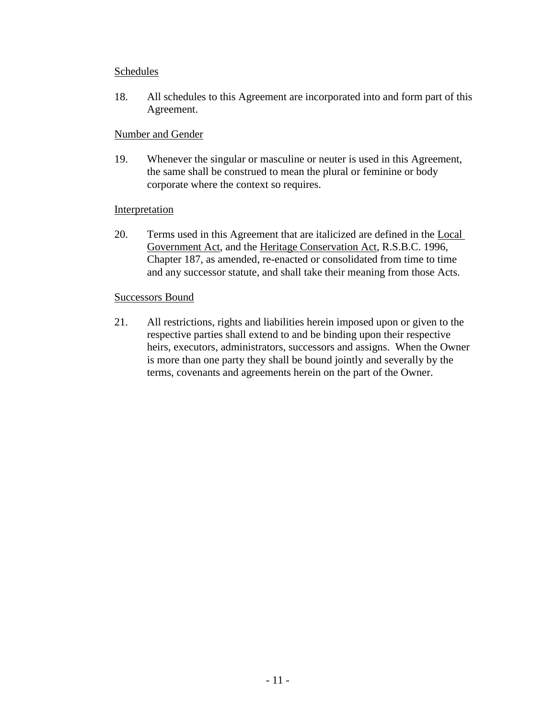#### Schedules

18. All schedules to this Agreement are incorporated into and form part of this Agreement.

#### Number and Gender

19. Whenever the singular or masculine or neuter is used in this Agreement, the same shall be construed to mean the plural or feminine or body corporate where the context so requires.

#### **Interpretation**

20. Terms used in this Agreement that are italicized are defined in the Local Government Act, and the Heritage Conservation Act, R.S.B.C. 1996, Chapter 187, as amended, re-enacted or consolidated from time to time and any successor statute, and shall take their meaning from those Acts.

#### Successors Bound

21. All restrictions, rights and liabilities herein imposed upon or given to the respective parties shall extend to and be binding upon their respective heirs, executors, administrators, successors and assigns. When the Owner is more than one party they shall be bound jointly and severally by the terms, covenants and agreements herein on the part of the Owner.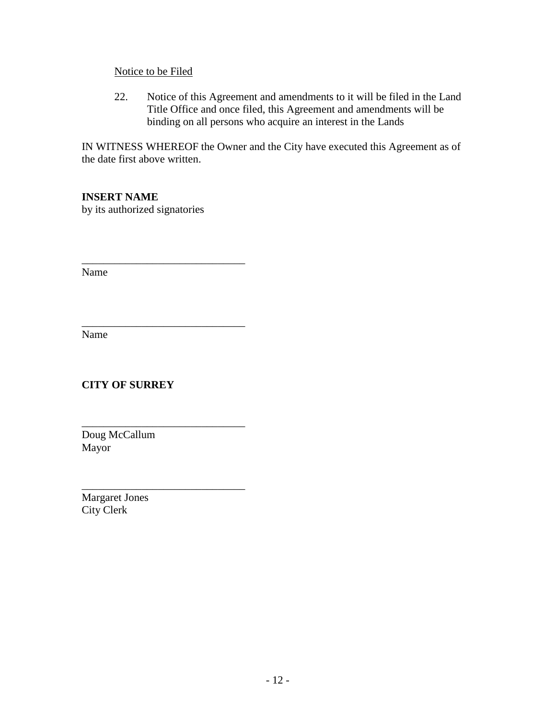### Notice to be Filed

22. Notice of this Agreement and amendments to it will be filed in the Land Title Office and once filed, this Agreement and amendments will be binding on all persons who acquire an interest in the Lands

IN WITNESS WHEREOF the Owner and the City have executed this Agreement as of the date first above written.

# **INSERT NAME**

by its authorized signatories

\_\_\_\_\_\_\_\_\_\_\_\_\_\_\_\_\_\_\_\_\_\_\_\_\_\_\_\_\_\_

\_\_\_\_\_\_\_\_\_\_\_\_\_\_\_\_\_\_\_\_\_\_\_\_\_\_\_\_\_\_

\_\_\_\_\_\_\_\_\_\_\_\_\_\_\_\_\_\_\_\_\_\_\_\_\_\_\_\_\_\_

Name

Name

**CITY OF SURREY**

Doug McCallum Mayor

\_\_\_\_\_\_\_\_\_\_\_\_\_\_\_\_\_\_\_\_\_\_\_\_\_\_\_\_\_\_ Margaret Jones City Clerk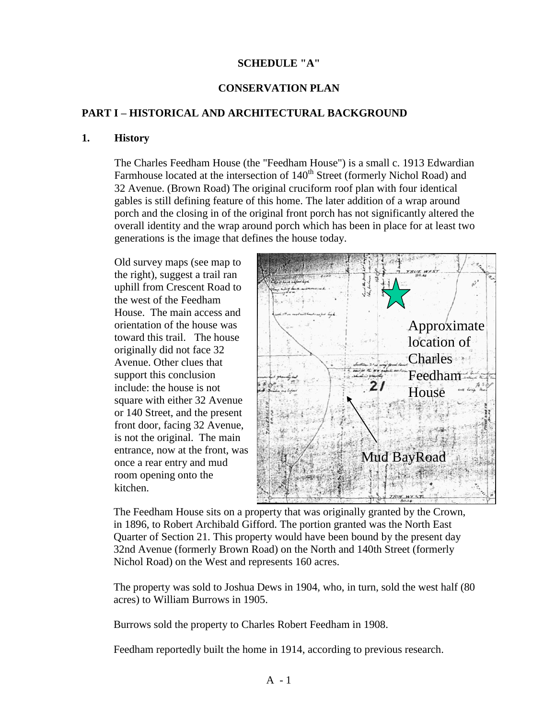#### **SCHEDULE "A"**

### **CONSERVATION PLAN**

#### **PART I – HISTORICAL AND ARCHITECTURAL BACKGROUND**

#### **1. History**

The Charles Feedham House (the "Feedham House") is a small c. 1913 Edwardian Farmhouse located at the intersection of 140<sup>th</sup> Street (formerly Nichol Road) and 32 Avenue. (Brown Road) The original cruciform roof plan with four identical gables is still defining feature of this home. The later addition of a wrap around porch and the closing in of the original front porch has not significantly altered the overall identity and the wrap around porch which has been in place for at least two generations is the image that defines the house today.

Old survey maps (see map to the right), suggest a trail ran uphill from Crescent Road to the west of the Feedham House. The main access and orientation of the house was toward this trail. The house originally did not face 32 Avenue. Other clues that support this conclusion include: the house is not square with either 32 Avenue or 140 Street, and the present front door, facing 32 Avenue, is not the original. The main entrance, now at the front, was once a rear entry and mud room opening onto the kitchen.



The Feedham House sits on a property that was originally granted by the Crown, in 1896, to Robert Archibald Gifford. The portion granted was the North East Quarter of Section 21. This property would have been bound by the present day 32nd Avenue (formerly Brown Road) on the North and 140th Street (formerly Nichol Road) on the West and represents 160 acres.

The property was sold to Joshua Dews in 1904, who, in turn, sold the west half (80 acres) to William Burrows in 1905.

Burrows sold the property to Charles Robert Feedham in 1908.

Feedham reportedly built the home in 1914, according to previous research.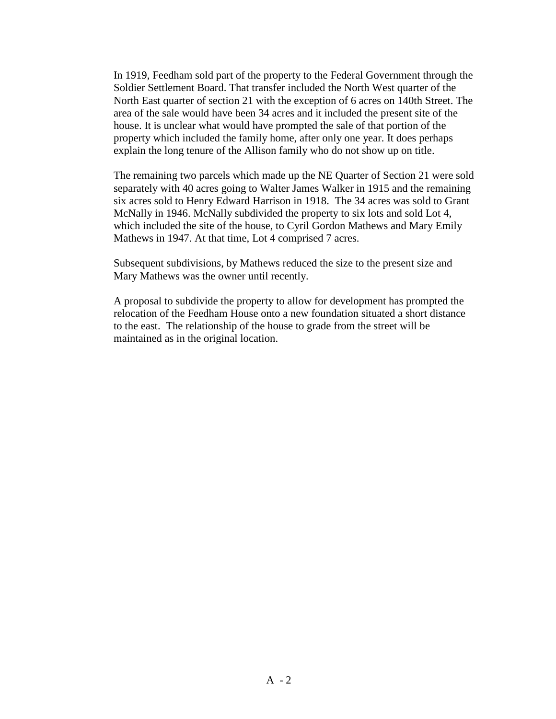In 1919, Feedham sold part of the property to the Federal Government through the Soldier Settlement Board. That transfer included the North West quarter of the North East quarter of section 21 with the exception of 6 acres on 140th Street. The area of the sale would have been 34 acres and it included the present site of the house. It is unclear what would have prompted the sale of that portion of the property which included the family home, after only one year. It does perhaps explain the long tenure of the Allison family who do not show up on title.

The remaining two parcels which made up the NE Quarter of Section 21 were sold separately with 40 acres going to Walter James Walker in 1915 and the remaining six acres sold to Henry Edward Harrison in 1918. The 34 acres was sold to Grant McNally in 1946. McNally subdivided the property to six lots and sold Lot 4, which included the site of the house, to Cyril Gordon Mathews and Mary Emily Mathews in 1947. At that time, Lot 4 comprised 7 acres.

Subsequent subdivisions, by Mathews reduced the size to the present size and Mary Mathews was the owner until recently.

A proposal to subdivide the property to allow for development has prompted the relocation of the Feedham House onto a new foundation situated a short distance to the east. The relationship of the house to grade from the street will be maintained as in the original location.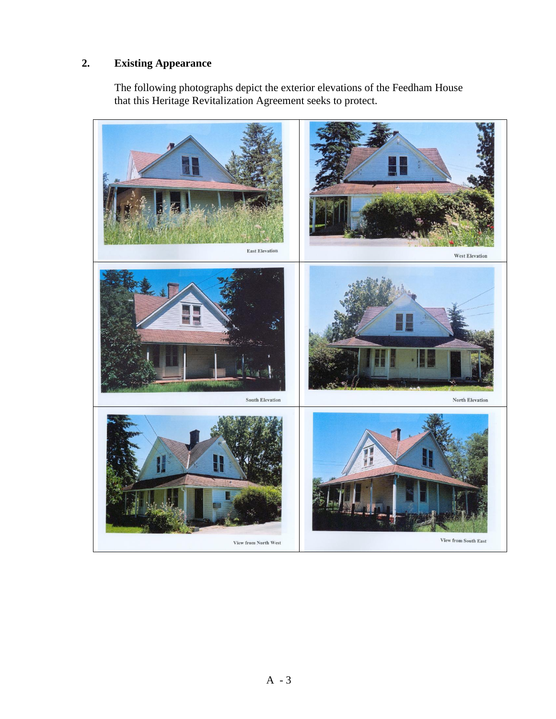# **2. Existing Appearance**

The following photographs depict the exterior elevations of the Feedham House that this Heritage Revitalization Agreement seeks to protect.

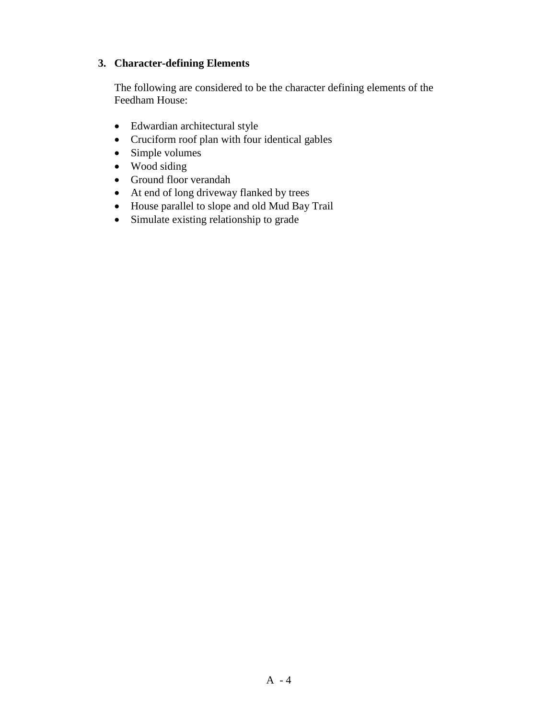## **3. Character-defining Elements**

The following are considered to be the character defining elements of the Feedham House:

- Edwardian architectural style
- Cruciform roof plan with four identical gables
- Simple volumes
- Wood siding
- Ground floor verandah
- At end of long driveway flanked by trees
- House parallel to slope and old Mud Bay Trail
- Simulate existing relationship to grade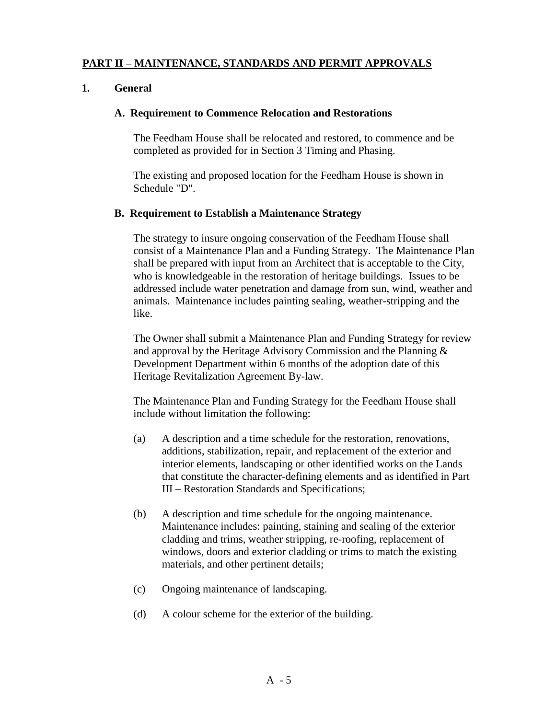## **PART II – MAINTENANCE, STANDARDS AND PERMIT APPROVALS**

## **1. General**

#### **A. Requirement to Commence Relocation and Restorations**

The Feedham House shall be relocated and restored, to commence and be completed as provided for in Section 3 Timing and Phasing.

The existing and proposed location for the Feedham House is shown in Schedule "D".

#### **B. Requirement to Establish a Maintenance Strategy**

The strategy to insure ongoing conservation of the Feedham House shall consist of a Maintenance Plan and a Funding Strategy. The Maintenance Plan shall be prepared with input from an Architect that is acceptable to the City, who is knowledgeable in the restoration of heritage buildings. Issues to be addressed include water penetration and damage from sun, wind, weather and animals. Maintenance includes painting sealing, weather-stripping and the like.

The Owner shall submit a Maintenance Plan and Funding Strategy for review and approval by the Heritage Advisory Commission and the Planning & Development Department within 6 months of the adoption date of this Heritage Revitalization Agreement By-law.

The Maintenance Plan and Funding Strategy for the Feedham House shall include without limitation the following:

- (a) A description and a time schedule for the restoration, renovations, additions, stabilization, repair, and replacement of the exterior and interior elements, landscaping or other identified works on the Lands that constitute the character-defining elements and as identified in Part III – Restoration Standards and Specifications;
- (b) A description and time schedule for the ongoing maintenance. Maintenance includes: painting, staining and sealing of the exterior cladding and trims, weather stripping, re-roofing, replacement of windows, doors and exterior cladding or trims to match the existing materials, and other pertinent details;
- (c) Ongoing maintenance of landscaping.
- (d) A colour scheme for the exterior of the building.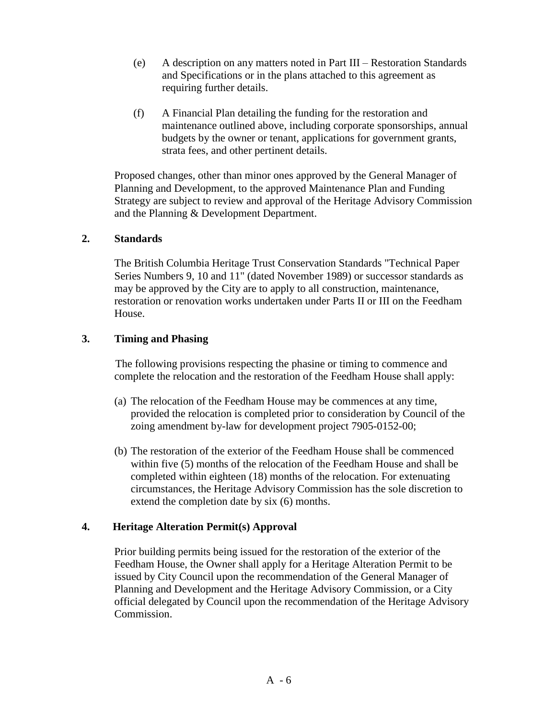- (e) A description on any matters noted in Part III Restoration Standards and Specifications or in the plans attached to this agreement as requiring further details.
- (f) A Financial Plan detailing the funding for the restoration and maintenance outlined above, including corporate sponsorships, annual budgets by the owner or tenant, applications for government grants, strata fees, and other pertinent details.

Proposed changes, other than minor ones approved by the General Manager of Planning and Development, to the approved Maintenance Plan and Funding Strategy are subject to review and approval of the Heritage Advisory Commission and the Planning & Development Department.

### **2. Standards**

The British Columbia Heritage Trust Conservation Standards "Technical Paper Series Numbers 9, 10 and 11" (dated November 1989) or successor standards as may be approved by the City are to apply to all construction, maintenance, restoration or renovation works undertaken under Parts II or III on the Feedham House.

## **3. Timing and Phasing**

The following provisions respecting the phasine or timing to commence and complete the relocation and the restoration of the Feedham House shall apply:

- (a) The relocation of the Feedham House may be commences at any time, provided the relocation is completed prior to consideration by Council of the zoing amendment by-law for development project 7905-0152-00;
- (b) The restoration of the exterior of the Feedham House shall be commenced within five (5) months of the relocation of the Feedham House and shall be completed within eighteen (18) months of the relocation. For extenuating circumstances, the Heritage Advisory Commission has the sole discretion to extend the completion date by six (6) months.

## **4. Heritage Alteration Permit(s) Approval**

Prior building permits being issued for the restoration of the exterior of the Feedham House, the Owner shall apply for a Heritage Alteration Permit to be issued by City Council upon the recommendation of the General Manager of Planning and Development and the Heritage Advisory Commission, or a City official delegated by Council upon the recommendation of the Heritage Advisory Commission.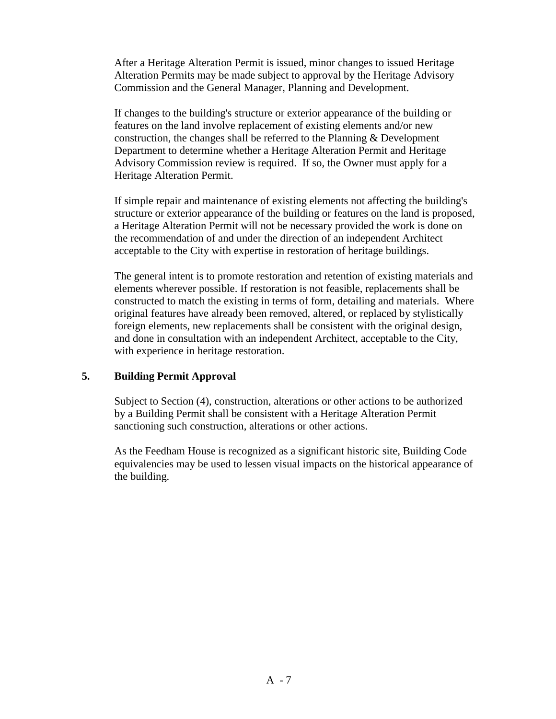After a Heritage Alteration Permit is issued, minor changes to issued Heritage Alteration Permits may be made subject to approval by the Heritage Advisory Commission and the General Manager, Planning and Development.

If changes to the building's structure or exterior appearance of the building or features on the land involve replacement of existing elements and/or new construction, the changes shall be referred to the Planning & Development Department to determine whether a Heritage Alteration Permit and Heritage Advisory Commission review is required. If so, the Owner must apply for a Heritage Alteration Permit.

If simple repair and maintenance of existing elements not affecting the building's structure or exterior appearance of the building or features on the land is proposed, a Heritage Alteration Permit will not be necessary provided the work is done on the recommendation of and under the direction of an independent Architect acceptable to the City with expertise in restoration of heritage buildings.

The general intent is to promote restoration and retention of existing materials and elements wherever possible. If restoration is not feasible, replacements shall be constructed to match the existing in terms of form, detailing and materials. Where original features have already been removed, altered, or replaced by stylistically foreign elements, new replacements shall be consistent with the original design, and done in consultation with an independent Architect, acceptable to the City, with experience in heritage restoration.

## **5. Building Permit Approval**

Subject to Section (4), construction, alterations or other actions to be authorized by a Building Permit shall be consistent with a Heritage Alteration Permit sanctioning such construction, alterations or other actions.

As the Feedham House is recognized as a significant historic site, Building Code equivalencies may be used to lessen visual impacts on the historical appearance of the building.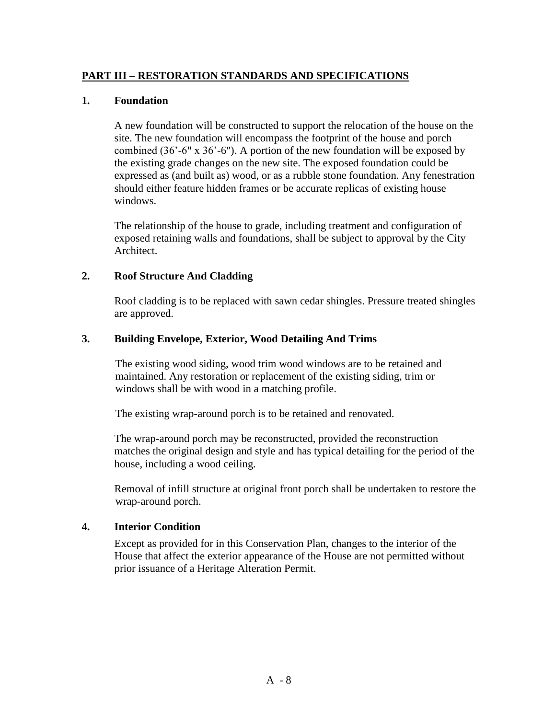### **PART III – RESTORATION STANDARDS AND SPECIFICATIONS**

#### **1. Foundation**

A new foundation will be constructed to support the relocation of the house on the site. The new foundation will encompass the footprint of the house and porch combined (36'-6" x 36'-6"). A portion of the new foundation will be exposed by the existing grade changes on the new site. The exposed foundation could be expressed as (and built as) wood, or as a rubble stone foundation. Any fenestration should either feature hidden frames or be accurate replicas of existing house windows.

The relationship of the house to grade, including treatment and configuration of exposed retaining walls and foundations, shall be subject to approval by the City Architect.

#### **2. Roof Structure And Cladding**

Roof cladding is to be replaced with sawn cedar shingles. Pressure treated shingles are approved.

#### **3. Building Envelope, Exterior, Wood Detailing And Trims**

The existing wood siding, wood trim wood windows are to be retained and maintained. Any restoration or replacement of the existing siding, trim or windows shall be with wood in a matching profile.

The existing wrap-around porch is to be retained and renovated.

The wrap-around porch may be reconstructed, provided the reconstruction matches the original design and style and has typical detailing for the period of the house, including a wood ceiling.

Removal of infill structure at original front porch shall be undertaken to restore the wrap-around porch.

#### **4. Interior Condition**

Except as provided for in this Conservation Plan, changes to the interior of the House that affect the exterior appearance of the House are not permitted without prior issuance of a Heritage Alteration Permit.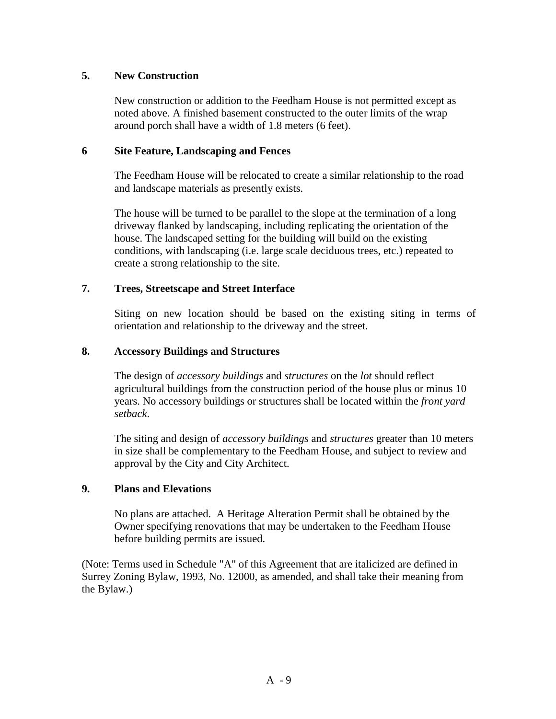## **5. New Construction**

New construction or addition to the Feedham House is not permitted except as noted above. A finished basement constructed to the outer limits of the wrap around porch shall have a width of 1.8 meters (6 feet).

#### **6 Site Feature, Landscaping and Fences**

The Feedham House will be relocated to create a similar relationship to the road and landscape materials as presently exists.

The house will be turned to be parallel to the slope at the termination of a long driveway flanked by landscaping, including replicating the orientation of the house. The landscaped setting for the building will build on the existing conditions, with landscaping (i.e. large scale deciduous trees, etc.) repeated to create a strong relationship to the site.

### **7. Trees, Streetscape and Street Interface**

Siting on new location should be based on the existing siting in terms of orientation and relationship to the driveway and the street.

#### **8. Accessory Buildings and Structures**

The design of *accessory buildings* and *structures* on the *lot* should reflect agricultural buildings from the construction period of the house plus or minus 10 years. No accessory buildings or structures shall be located within the *front yard setback*.

The siting and design of *accessory buildings* and *structures* greater than 10 meters in size shall be complementary to the Feedham House, and subject to review and approval by the City and City Architect.

#### **9. Plans and Elevations**

No plans are attached. A Heritage Alteration Permit shall be obtained by the Owner specifying renovations that may be undertaken to the Feedham House before building permits are issued.

(Note: Terms used in Schedule "A" of this Agreement that are italicized are defined in Surrey Zoning Bylaw, 1993, No. 12000, as amended, and shall take their meaning from the Bylaw.)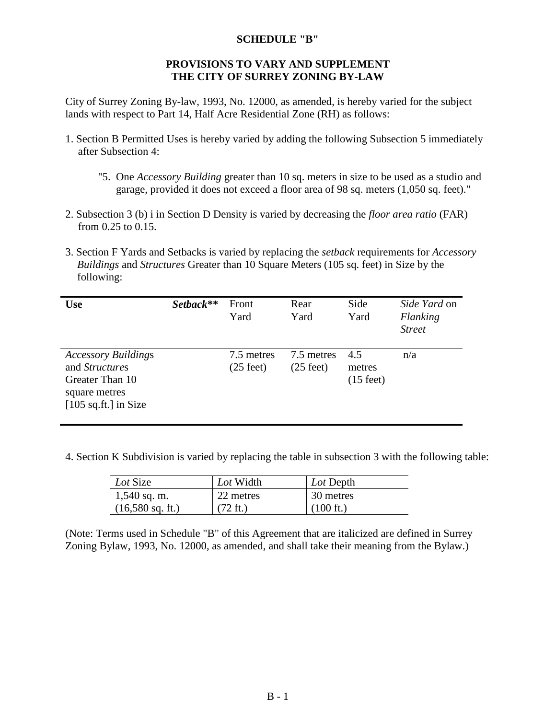#### **SCHEDULE "B"**

#### **PROVISIONS TO VARY AND SUPPLEMENT THE CITY OF SURREY ZONING BY-LAW**

City of Surrey Zoning By-law, 1993, No. 12000, as amended, is hereby varied for the subject lands with respect to Part 14, Half Acre Residential Zone (RH) as follows:

- 1. Section B Permitted Uses is hereby varied by adding the following Subsection 5 immediately after Subsection 4:
	- "5. One *Accessory Building* greater than 10 sq. meters in size to be used as a studio and garage, provided it does not exceed a floor area of 98 sq. meters (1,050 sq. feet)."
- 2. Subsection 3 (b) i in Section D Density is varied by decreasing the *floor area ratio* (FAR) from 0.25 to 0.15.
- 3. Section F Yards and Setbacks is varied by replacing the *setback* requirements for *Accessory Buildings* and *Structures* Greater than 10 Square Meters (105 sq. feet) in Size by the following:

| <b>Use</b>                                                                                                        | Setback** | Front<br>Yard                     | Rear<br>Yard                      | Side<br>Yard                         | Side Yard on<br>Flanking<br><b>Street</b> |
|-------------------------------------------------------------------------------------------------------------------|-----------|-----------------------------------|-----------------------------------|--------------------------------------|-------------------------------------------|
| <b>Accessory Buildings</b><br>and <i>Structures</i><br>Greater Than 10<br>square metres<br>$[105$ sq.ft.] in Size |           | 7.5 metres<br>$(25 \text{ feet})$ | 7.5 metres<br>$(25 \text{ feet})$ | 4.5<br>metres<br>$(15 \text{ feet})$ | n/a                                       |

4. Section K Subdivision is varied by replacing the table in subsection 3 with the following table:

| Lot Size                   | Lot Width          | Lot Depth           |
|----------------------------|--------------------|---------------------|
| $1,540$ sq. m.             | 22 metres          | 30 metres           |
| $(16,580 \text{ sq. ft.})$ | $(72 \text{ ft.})$ | $(100 \text{ ft.})$ |

(Note: Terms used in Schedule "B" of this Agreement that are italicized are defined in Surrey Zoning Bylaw, 1993, No. 12000, as amended, and shall take their meaning from the Bylaw.)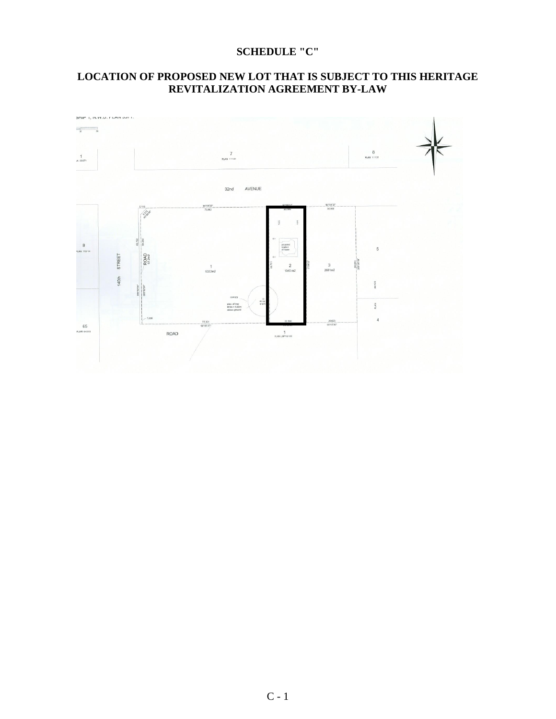## **SCHEDULE "C"**

## **LOCATION OF PROPOSED NEW LOT THAT IS SUBJECT TO THIS HERITAGE REVITALIZATION AGREEMENT BY-LAW**